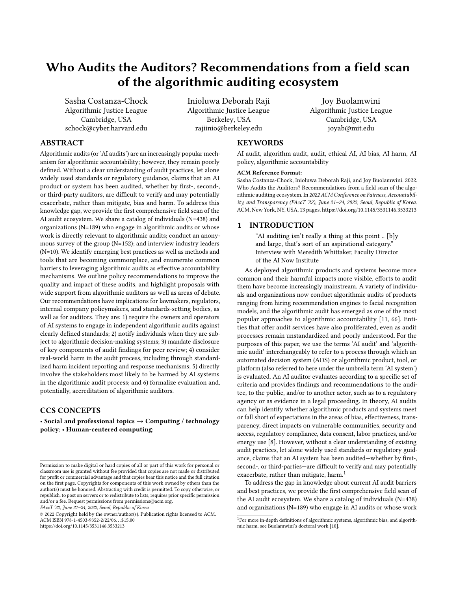# Who Audits the Auditors? Recommendations from a field scan of the algorithmic auditing ecosystem

[Sasha Costanza-Chock](https://orcid.org/0000-0002-0253-9654) Algorithmic Justice League Cambridge, USA schock@cyber.harvard.edu Inioluwa Deborah Raji Algorithmic Justice League Berkeley, USA rajiinio@berkeley.edu

# ABSTRACT

Algorithmic audits (or 'AI audits') are an increasingly popular mechanism for algorithmic accountability; however, they remain poorly defined. Without a clear understanding of audit practices, let alone widely used standards or regulatory guidance, claims that an AI product or system has been audited, whether by first-, second-, or third-party auditors, are difficult to verify and may potentially exacerbate, rather than mitigate, bias and harm. To address this knowledge gap, we provide the first comprehensive field scan of the AI audit ecosystem. We share a catalog of individuals (N=438) and organizations (N=189) who engage in algorithmic audits or whose work is directly relevant to algorithmic audits; conduct an anonymous survey of the group (N=152); and interview industry leaders (N=10). We identify emerging best practices as well as methods and tools that are becoming commonplace, and enumerate common barriers to leveraging algorithmic audits as effective accountability mechanisms. We outline policy recommendations to improve the quality and impact of these audits, and highlight proposals with wide support from algorithmic auditors as well as areas of debate. Our recommendations have implications for lawmakers, regulators, internal company policymakers, and standards-setting bodies, as well as for auditors. They are: 1) require the owners and operators of AI systems to engage in independent algorithmic audits against clearly defined standards; 2) notify individuals when they are subject to algorithmic decision-making systems; 3) mandate disclosure of key components of audit findings for peer review; 4) consider real-world harm in the audit process, including through standardized harm incident reporting and response mechanisms; 5) directly involve the stakeholders most likely to be harmed by AI systems in the algorithmic audit process; and 6) formalize evaluation and, potentially, accreditation of algorithmic auditors.

# CCS CONCEPTS

• Social and professional topics  $\rightarrow$  Computing / technology policy; • Human-centered computing;

FAccT '22, June 21–24, 2022, Seoul, Republic of Korea

### **KEYWORDS**

AI audit, algorithm audit, audit, ethical AI, AI bias, AI harm, AI policy, algorithmic accountability

Joy Buolamwini Algorithmic Justice League Cambridge, USA joyab@mit.edu

#### ACM Reference Format:

Sasha Costanza-Chock, Inioluwa Deborah Raji, and Joy Buolamwini. 2022. Who Audits the Auditors? Recommendations from a field scan of the algorithmic auditing ecosystem. In 2022 ACM Conference on Fairness, Accountability, and Transparency (FAccT '22), June 21–24, 2022, Seoul, Republic of Korea. ACM, New York, NY, USA, [13](#page-12-0) pages[. https://doi.org/10.1145/3531146.3533213](https://doi.org/10.1145/3531146.3533213)

# 1 INTRODUCTION

"AI auditing isn't really a thing at this point .. [b]y and large, that's sort of an aspirational category." – Interview with Meredith Whittaker, Faculty Director of the AI Now Institute

As deployed algorithmic products and systems become more common and their harmful impacts more visible, efforts to audit them have become increasingly mainstream. A variety of individuals and organizations now conduct algorithmic audits of products ranging from hiring recommendation engines to facial recognition models, and the algorithmic audit has emerged as one of the most popular approaches to algorithmic accountability [\[11,](#page-10-0) [66\]](#page-11-0). Entities that offer audit services have also proliferated, even as audit processes remain unstandardized and poorly understood. For the purposes of this paper, we use the terms 'AI audit' and 'algorithmic audit' interchangeably to refer to a process through which an automated decision system (ADS) or algorithmic product, tool, or platform (also referred to here under the umbrella term 'AI system') is evaluated. An AI auditor evaluates according to a specific set of criteria and provides findings and recommendations to the auditee, to the public, and/or to another actor, such as to a regulatory agency or as evidence in a legal proceeding. In theory, AI audits can help identify whether algorithmic products and systems meet or fall short of expectations in the areas of bias, effectiveness, transparency, direct impacts on vulnerable communities, security and access, regulatory compliance, data consent, labor practices, and/or energy use [\[8\]](#page-10-1). However, without a clear understanding of existing audit practices, let alone widely used standards or regulatory guidance, claims that an AI system has been audited—whether by first-, second-, or third-parties—are difficult to verify and may potentially exacerbate, rather than mitigate, harm.<sup>[1](#page-0-0)</sup>

To address the gap in knowledge about current AI audit barriers and best practices, we provide the first comprehensive field scan of the AI audit ecosystem. We share a catalog of individuals (N=438) and organizations (N=189) who engage in AI audits or whose work

Permission to make digital or hard copies of all or part of this work for personal or classroom use is granted without fee provided that copies are not made or distributed for profit or commercial advantage and that copies bear this notice and the full citation on the first page. Copyrights for components of this work owned by others than the author(s) must be honored. Abstracting with credit is permitted. To copy otherwise, or republish, to post on servers or to redistribute to lists, requires prior specific permission and/or a fee. Request permissions from permissions@acm.org.

<sup>©</sup> 2022 Copyright held by the owner/author(s). Publication rights licensed to ACM. ACM ISBN 978-1-4503-9352-2/22/06. . . \$15.00 <https://doi.org/10.1145/3531146.3533213>

<span id="page-0-0"></span><sup>&</sup>lt;sup>1</sup>For more in-depth definitions of algorithmic systems, algorithmic bias, and algorithmic harm, see Buolamwini's doctoral work [\[10\]](#page-10-2).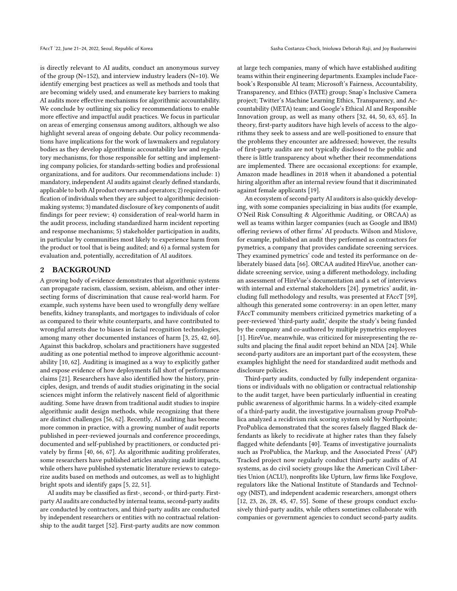is directly relevant to AI audits, conduct an anonymous survey of the group (N=152), and interview industry leaders (N=10). We identify emerging best practices as well as methods and tools that are becoming widely used, and enumerate key barriers to making AI audits more effective mechanisms for algorithmic accountability. We conclude by outlining six policy recommendations to enable more effective and impactful audit practices. We focus in particular on areas of emerging consensus among auditors, although we also highlight several areas of ongoing debate. Our policy recommendations have implications for the work of lawmakers and regulatory bodies as they develop algorithmic accountability law and regulatory mechanisms, for those responsible for setting and implementing company policies, for standards-setting bodies and professional organizations, and for auditors. Our recommendations include: 1) mandatory, independent AI audits against clearly defined standards, applicable to both AI product owners and operators; 2) required notification of individuals when they are subject to algorithmic decisionmaking systems; 3) mandated disclosure of key components of audit findings for peer review; 4) consideration of real-world harm in the audit process, including standardized harm incident reporting and response mechanisms; 5) stakeholder participation in audits, in particular by communities most likely to experience harm from the product or tool that is being audited; and 6) a formal system for evaluation and, potentially, accreditation of AI auditors.

# 2 BACKGROUND

A growing body of evidence demonstrates that algorithmic systems can propagate racism, classism, sexism, ableism, and other intersecting forms of discrimination that cause real-world harm. For example, such systems have been used to wrongfully deny welfare benefits, kidney transplants, and mortgages to individuals of color as compared to their white counterparts, and have contributed to wrongful arrests due to biases in facial recognition technologies, among many other documented instances of harm [\[3,](#page-10-3) [25,](#page-10-4) [42,](#page-10-5) [60\]](#page-11-1). Against this backdrop, scholars and practitioners have suggested auditing as one potential method to improve algorithmic accountability [\[10,](#page-10-2) [62\]](#page-11-2). Auditing is imagined as a way to explicitly gather and expose evidence of how deployments fall short of performance claims [\[21\]](#page-10-6). Researchers have also identified how the history, principles, design, and trends of audit studies originating in the social sciences might inform the relatively nascent field of algorithmic auditing. Some have drawn from traditional audit studies to inspire algorithmic audit design methods, while recognizing that there are distinct challenges [\[56,](#page-11-3) [62\]](#page-11-2). Recently, AI auditing has become more common in practice, with a growing number of audit reports published in peer-reviewed journals and conference proceedings, documented and self-published by practitioners, or conducted privately by firms [\[40,](#page-10-7) [66,](#page-11-0) [67\]](#page-11-4). As algorithmic auditing proliferates, some researchers have published articles analyzing audit impacts, while others have published systematic literature reviews to categorize audits based on methods and outcomes, as well as to highlight bright spots and identify gaps [\[5,](#page-10-8) [22,](#page-10-9) [51\]](#page-11-5).

AI audits may be classified as first-, second-, or third-party. Firstparty AI audits are conducted by internal teams, second-party audits are conducted by contractors, and third-party audits are conducted by independent researchers or entities with no contractual relationship to the audit target [\[52\]](#page-11-6). First-party audits are now common

at large tech companies, many of which have established auditing teams within their engineering departments. Examples include Facebook's Responsible AI team; Microsoft's Fairness, Accountability, Transparency, and Ethics (FATE) group; Snap's Inclusive Camera project; Twitter's Machine Learning Ethics, Transparency, and Accountability (META) team; and Google's Ethical AI and Responsible Innovation group, as well as many others [\[32,](#page-10-10) [44,](#page-11-7) [50,](#page-11-8) [63,](#page-11-9) [65\]](#page-11-10). In theory, first-party auditors have high levels of access to the algorithms they seek to assess and are well-positioned to ensure that the problems they encounter are addressed; however, the results of first-party audits are not typically disclosed to the public and there is little transparency about whether their recommendations are implemented. There are occasional exceptions: for example, Amazon made headlines in 2018 when it abandoned a potential hiring algorithm after an internal review found that it discriminated against female applicants [\[19\]](#page-10-11).

An ecosystem of second-party AI auditors is also quickly developing, with some companies specializing in bias audits (for example, O'Neil Risk Consulting & Algorithmic Auditing, or ORCAA) as well as teams within larger companies (such as Google and IBM) offering reviews of other firms' AI products. Wilson and Mislove, for example, published an audit they performed as contractors for pymetrics, a company that provides candidate screening services. They examined pymetrics' code and tested its performance on deliberately biased data [\[66\]](#page-11-0). ORCAA audited HireVue, another candidate screening service, using a different methodology, including an assessment of HireVue's documentation and a set of interviews with internal and external stakeholders [\[24\]](#page-10-12). pymetrics' audit, including full methodology and results, was presented at FAccT [\[59\]](#page-11-11), although this generated some controversy: in an open letter, many FAccT community members criticized pymetrics marketing of a peer-reviewed 'third-party audit,' despite the study's being funded by the company and co-authored by multiple pymetrics employees [\[1\]](#page-10-13). HireVue, meanwhile, was criticized for misrepresenting the results and placing the final audit report behind an NDA [\[24\]](#page-10-12). While second-party auditors are an important part of the ecosystem, these examples highlight the need for standardized audit methods and disclosure policies.

Third-party audits, conducted by fully independent organizations or individuals with no obligation or contractual relationship to the audit target, have been particularly influential in creating public awareness of algorithmic harms. In a widely-cited example of a third-party audit, the investigative journalism group ProPublica analyzed a recidivism risk scoring system sold by Northpointe; ProPublica demonstrated that the scores falsely flagged Black defendants as likely to recidivate at higher rates than they falsely flagged white defendants [\[40\]](#page-10-7). Teams of investigative journalists such as ProPublica, the Markup, and the Associated Press' (AP) Tracked project now regularly conduct third-party audits of AI systems, as do civil society groups like the American Civil Liberties Union (ACLU), nonprofits like Upturn, law firms like Foxglove, regulators like the National Institute of Standards and Technology (NIST), and independent academic researchers, amongst others [\[12,](#page-10-14) [23,](#page-10-15) [26,](#page-10-16) [28,](#page-10-17) [45,](#page-11-12) [47,](#page-11-13) [55\]](#page-11-14). Some of these groups conduct exclusively third-party audits, while others sometimes collaborate with companies or government agencies to conduct second-party audits.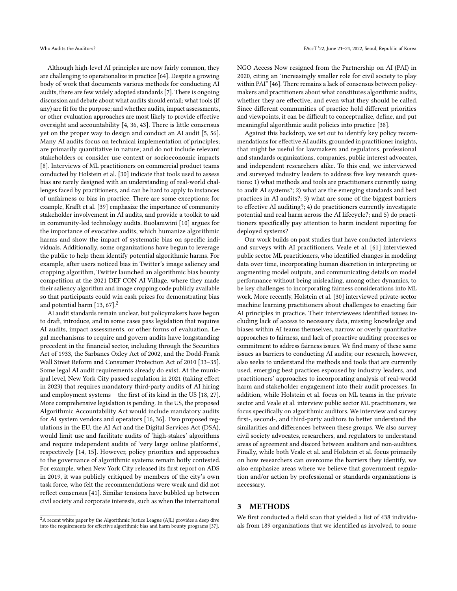Although high-level AI principles are now fairly common, they are challenging to operationalize in practice [\[64\]](#page-11-15). Despite a growing body of work that documents various methods for conducting AI audits, there are few widely adopted standards [\[7\]](#page-10-18). There is ongoing discussion and debate about what audits should entail; what tools (if any) are fit for the purpose; and whether audits, impact assessments, or other evaluation approaches are most likely to provide effective oversight and accountability [\[4,](#page-10-19) [36,](#page-10-20) [43\]](#page-11-16). There is little consensus yet on the proper way to design and conduct an AI audit [\[5,](#page-10-8) [56\]](#page-11-3). Many AI audits focus on technical implementation of principles; are primarily quantitative in nature; and do not include relevant stakeholders or consider use context or socioeconomic impacts [\[8\]](#page-10-1). Interviews of ML practitioners on commercial product teams conducted by Holstein et al. [\[30\]](#page-10-21) indicate that tools used to assess bias are rarely designed with an understanding of real-world challenges faced by practitioners, and can be hard to apply to instances of unfairness or bias in practice. There are some exceptions; for example, Krafft et al. [\[39\]](#page-10-22) emphasize the importance of community stakeholder involvement in AI audits, and provide a toolkit to aid in community-led technology audits. Buolamwini [\[10\]](#page-10-2) argues for the importance of evocative audits, which humanize algorithmic harms and show the impact of systematic bias on specific individuals. Additionally, some organizations have begun to leverage the public to help them identify potential algorithmic harms. For example, after users noticed bias in Twitter's image saliency and cropping algorithm, Twitter launched an algorithmic bias bounty competition at the 2021 DEF CON AI Village, where they made their saliency algorithm and image cropping code publicly available so that participants could win cash prizes for demonstrating bias and potential harm  $[13, 67]$  $[13, 67]$ .<sup>[2](#page-2-0)</sup>

AI audit standards remain unclear, but policymakers have begun to draft, introduce, and in some cases pass legislation that requires AI audits, impact assessments, or other forms of evaluation. Legal mechanisms to require and govern audits have longstanding precedent in the financial sector, including through the Securities Act of 1933, the Sarbanes Oxley Act of 2002, and the Dodd-Frank Wall Street Reform and Consumer Protection Act of 2010 [\[33–](#page-10-24)[35\]](#page-10-25). Some legal AI audit requirements already do exist. At the municipal level, New York City passed regulation in 2021 (taking effect in 2023) that requires mandatory third-party audits of AI hiring and employment systems – the first of its kind in the US [\[18,](#page-10-26) [27\]](#page-10-27). More comprehensive legislation is pending. In the US, the proposed Algorithmic Accountability Act would include mandatory audits for AI system vendors and operators [\[16,](#page-10-28) [36\]](#page-10-20). Two proposed regulations in the EU, the AI Act and the Digital Services Act (DSA), would limit use and facilitate audits of 'high-stakes' algorithms and require independent audits of 'very large online platforms', respectively [\[14,](#page-10-29) [15\]](#page-10-30). However, policy priorities and approaches to the governance of algorithmic systems remain hotly contested. For example, when New York City released its first report on ADS in 2019, it was publicly critiqued by members of the city's own task force, who felt the recommendations were weak and did not reflect consensus [\[41\]](#page-10-31). Similar tensions have bubbled up between civil society and corporate interests, such as when the international

NGO Access Now resigned from the Partnership on AI (PAI) in 2020, citing an "increasingly smaller role for civil society to play within PAI" [\[46\]](#page-11-17). There remains a lack of consensus between policymakers and practitioners about what constitutes algorithmic audits, whether they are effective, and even what they should be called. Since different communities of practice hold different priorities and viewpoints, it can be difficult to conceptualize, define, and put meaningful algorithmic audit policies into practice [\[38\]](#page-10-33).

Against this backdrop, we set out to identify key policy recommendations for effective AI audits, grounded in practitioner insights, that might be useful for lawmakers and regulators, professional and standards organizations, companies, public interest advocates, and independent researchers alike. To this end, we interviewed and surveyed industry leaders to address five key research questions: 1) what methods and tools are practitioners currently using to audit AI systems?; 2) what are the emerging standards and best practices in AI audits?; 3) what are some of the biggest barriers to effective AI auditing?; 4) do practitioners currently investigate potential and real harm across the AI lifecycle?; and 5) do practitioners specifically pay attention to harm incident reporting for deployed systems?

Our work builds on past studies that have conducted interviews and surveys with AI practitioners. Veale et al. [\[61\]](#page-11-18) interviewed public sector ML practitioners, who identified changes in modeling data over time, incorporating human discretion in interpreting or augmenting model outputs, and communicating details on model performance without being misleading, among other dynamics, to be key challenges to incorporating fairness considerations into ML work. More recently, Holstein et al. [\[30\]](#page-10-21) interviewed private-sector machine learning practitioners about challenges to enacting fair AI principles in practice. Their interviewees identified issues including lack of access to necessary data, missing knowledge and biases within AI teams themselves, narrow or overly quantitative approaches to fairness, and lack of proactive auditing processes or commitment to address fairness issues. We find many of these same issues as barriers to conducting AI audits; our research, however, also seeks to understand the methods and tools that are currently used, emerging best practices espoused by industry leaders, and practitioners' approaches to incorporating analysis of real-world harm and stakeholder engagement into their audit processes. In addition, while Holstein et al. focus on ML teams in the private sector and Veale et al. interview public sector ML practitioners, we focus specifically on algorithmic auditors. We interview and survey first-, second-, and third-party auditors to better understand the similarities and differences between these groups. We also survey civil society advocates, researchers, and regulators to understand areas of agreement and discord between auditors and non-auditors. Finally, while both Veale et al. and Holstein et al. focus primarily on how researchers can overcome the barriers they identify, we also emphasize areas where we believe that government regulation and/or action by professional or standards organizations is necessary.

# 3 METHODS

We first conducted a field scan that yielded a list of 438 individuals from 189 organizations that we identified as involved, to some

<span id="page-2-0"></span> $2A$  recent white paper by the Algorithmic Justice League (AJL) provides a deep dive into the requirements for effective algorithmic bias and harm bounty programs [\[37\]](#page-10-32).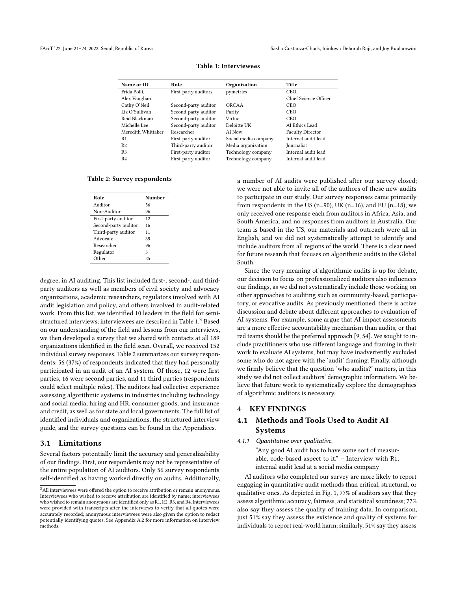<span id="page-3-0"></span>

| Name or ID         | Role                 | Organization         | Title                   |
|--------------------|----------------------|----------------------|-------------------------|
| Frida Polli,       | First-party auditors | pymetrics            | CEO.                    |
| Alex Vaughan       |                      |                      | Chief Science Officer   |
| Cathy O'Neil       | Second-party auditor | ORCAA                | <b>CEO</b>              |
| Liz O'Sullivan     | Second-party auditor | Parity               | <b>CEO</b>              |
| Reid Blackman      | Second-party auditor | Virtue               | <b>CEO</b>              |
| Michelle Lee       | Second-party auditor | Deloitte UK          | AI Ethics Lead          |
| Meredith Whittaker | Researcher           | AI Now               | <b>Faculty Director</b> |
| R <sub>1</sub>     | First-party auditor  | Social media company | Internal audit lead     |
| R2                 | Third-party auditor  | Media organization   | Journalist              |
| R <sub>3</sub>     | First-party auditor  | Technology company   | Internal audit lead     |
| R <sub>4</sub>     | First-party auditor  | Technology company   | Internal audit lead     |
|                    |                      |                      |                         |

# Table 1: Interviewees

<span id="page-3-2"></span>Table 2: Survey respondents

| Role                 | Number |
|----------------------|--------|
| Auditor              | 56     |
| Non-Auditor          | 96     |
| First-party auditor  | 12     |
| Second-party auditor | 16     |
| Third-party auditor  | 11     |
| Advocate             | 65     |
| Researcher           | 96     |
| Regulator            | 3      |
| ∩ther                | 25     |

degree, in AI auditing. This list included first-, second-, and thirdparty auditors as well as members of civil society and advocacy organizations, academic researchers, regulators involved with AI audit legislation and policy, and others involved in audit-related work. From this list, we identified 10 leaders in the field for semi-structured interviews; interviewees are described in Table [1.](#page-3-0)<sup>[3](#page-3-1)</sup> Based on our understanding of the field and lessons from our interviews, we then developed a survey that we shared with contacts at all 189 organizations identified in the field scan. Overall, we received 152 individual survey responses. Table [2](#page-3-2) summarizes our survey respondents: 56 (37%) of respondents indicated that they had personally participated in an audit of an AI system. Of those, 12 were first parties, 16 were second parties, and 11 third parties (respondents could select multiple roles). The auditors had collective experience assessing algorithmic systems in industries including technology and social media, hiring and HR, consumer goods, and insurance and credit, as well as for state and local governments. The full list of identified individuals and organizations, the structured interview guide, and the survey questions can be found in the Appendices.

#### 3.1 Limitations

Several factors potentially limit the accuracy and generalizability of our findings. First, our respondents may not be representative of the entire population of AI auditors. Only 56 survey respondents self-identified as having worked directly on audits. Additionally,

a number of AI audits were published after our survey closed; we were not able to invite all of the authors of these new audits to participate in our study. Our survey responses came primarily from respondents in the US (n=90), UK (n=16), and EU (n=18); we only received one response each from auditors in Africa, Asia, and South America, and no responses from auditors in Australia. Our team is based in the US, our materials and outreach were all in English, and we did not systematically attempt to identify and include auditors from all regions of the world. There is a clear need for future research that focuses on algorithmic audits in the Global South.

Since the very meaning of algorithmic audits is up for debate, our decision to focus on professionalized auditors also influences our findings, as we did not systematically include those working on other approaches to auditing such as community-based, participatory, or evocative audits. As previously mentioned, there is active discussion and debate about different approaches to evaluation of AI systems. For example, some argue that AI impact assessments are a more effective accountability mechanism than audits, or that red teams should be the preferred approach [\[9,](#page-10-34) [54\]](#page-11-20). We sought to include practitioners who use different language and framing in their work to evaluate AI systems, but may have inadvertently excluded some who do not agree with the 'audit' framing. Finally, although we firmly believe that the question 'who audits?' matters, in this study we did not collect auditors' demographic information. We believe that future work to systematically explore the demographics of algorithmic auditors is necessary.

## 4 KEY FINDINGS

# 4.1 Methods and Tools Used to Audit AI Systems

#### 4.1.1 Quantitative over qualitative.

"Any good AI audit has to have some sort of measurable, code-based aspect to it." – Interview with R1, internal audit lead at a social media company

AI auditors who completed our survey are more likely to report engaging in quantitative audit methods than critical, structural, or qualitative ones. As depicted in Fig. [1,](#page-4-0) 77% of auditors say that they assess algorithmic accuracy, fairness, and statistical soundness; 77% also say they assess the quality of training data. In comparison, just 51% say they assess the existence and quality of systems for individuals to report real-world harm; similarly, 51% say they assess

<span id="page-3-1"></span><sup>&</sup>lt;sup>3</sup>All interviewees were offered the option to receive attribution or remain anonymous. Interviewees who wished to receive attribution are identified by name; interviewees who wished to remain anonymous are identified only as R1, R2, R3, and R4. Interviewees were provided with transcripts after the interviews to verify that all quotes were accurately recorded; anonymous interviewees were also given the option to redact potentially identifying quotes. See Appendix [A.2](#page-11-19) for more information on interview methods.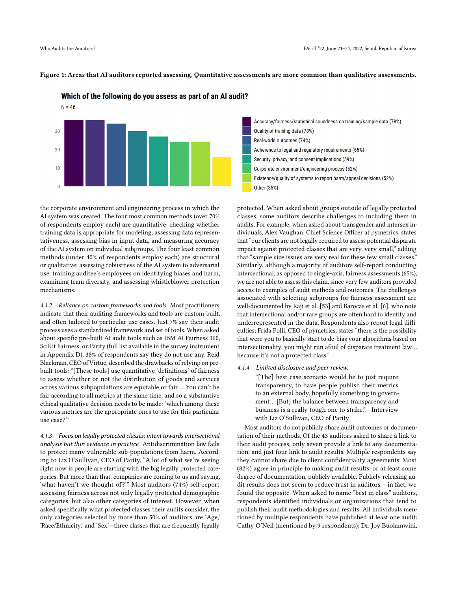

Which of the following do you assess as part of an AI audit?

<span id="page-4-0"></span>Figure 1: Areas that AI auditors reported assessing. Quantitative assessments are more common than qualitative assessments.

the corporate environment and engineering process in which the AI system was created. The four most common methods (over 70% of respondents employ each) are quantitative: checking whether training data is appropriate for modeling, assessing data representativeness, assessing bias in input data, and measuring accuracy of the AI system on individual subgroups. The four least common methods (under 40% of respondents employ each) are structural or qualitative: assessing robustness of the AI system to adversarial use, training auditee's employees on identifying biases and harm, examining team diversity, and assessing whistleblower protection mechanisms.

<span id="page-4-1"></span>4.1.2 Reliance on custom frameworks and tools. Most practitioners indicate that their auditing frameworks and tools are custom-built, and often tailored to particular use cases. Just 7% say their audit process uses a standardized framework and set of tools. When asked about specific pre-built AI audit tools such as IBM AI Fairness 360, SciKit Fairness, or Parity (full list available in the survey instrument in Appendix [D\)](#page-12-1), 38% of respondents say they do not use any. Reid Blackman, CEO of Virtue, described the drawbacks of relying on prebuilt tools: "[These tools] use quantitative 'definitions' of fairness to assess whether or not the distribution of goods and services across various subpopulations are equitable or fair. . . You can't be fair according to all metrics at the same time, and so a substantive ethical qualitative decision needs to be made: 'which among these various metrics are the appropriate ones to use for this particular use case?'"

4.1.3 Focus on legally protected classes; intent towards intersectional analysis but thin evidence in practice. Antidiscrimination law fails to protect many vulnerable sub-populations from harm. According to Liz O'Sullivan, CEO of Parity, "A lot of what we're seeing right now is people are starting with the big legally protected categories. But more than that, companies are coming to us and saying, 'what haven't we thought of?'" Most auditors (74%) self-report assessing fairness across not only legally protected demographic categories, but also other categories of interest. However, when asked specifically what protected classes their audits consider, the only categories selected by more than 50% of auditors are 'Age,' 'Race/Ethnicity,' and 'Sex'—three classes that are frequently legally

Accuracy/fairness/statistical soundness on training/sample data (78%) Quality of training data (78%) Real-world outcomes (74%) Adherence to legal and regulatory requirements (65%) Security, privacy, and consent implications (59%) Corporate environment/engineering process (52%) Existence/quality of systems to report harm/appeal decisions (52%) Other (35%)

protected. When asked about groups outside of legally protected classes, some auditors describe challenges to including them in audits. For example, when asked about transgender and intersex individuals, Alex Vaughan, Chief Science Officer at pymetrics, states that "our clients are not legally required to assess potential disparate impact against protected classes that are very, very small," adding that "sample size issues are very real for these few small classes." Similarly, although a majority of auditors self-report conducting intersectional, as opposed to single-axis, fairness assessments (65%), we are not able to assess this claim, since very few auditors provided access to examples of audit methods and outcomes. The challenges associated with selecting subgroups for fairness assessment are well-documented by Raji et al. [\[53\]](#page-11-21) and Barocas et al. [\[6\]](#page-10-35), who note that intersectional and/or rare groups are often hard to identify and underrepresented in the data. Respondents also report legal difficulties; Frida Polli, CEO of pymetrics, states "there is the possibility that were you to basically start to de-bias your algorithms based on intersectionality, you might run afoul of disparate treatment law. . . because it's not a protected class."

#### 4.1.4 Limited disclosure and peer review.

"[The] best case scenario would be to just require transparency, to have people publish their metrics to an external body, hopefully something in government... [But] the balance between transparency and business is a really tough one to strike." - Interview with Liz O'Sullivan, CEO of Parity

Most auditors do not publicly share audit outcomes or documentation of their methods. Of the 43 auditors asked to share a link to their audit process, only seven provide a link to any documentation, and just four link to audit results. Multiple respondents say they cannot share due to client confidentiality agreements. Most (82%) agree in principle to making audit results, or at least some degree of documentation, publicly available. Publicly releasing audit results does not seem to reduce trust in auditors – in fact, we found the opposite. When asked to name "best in class" auditors, respondents identified individuals or organizations that tend to publish their audit methodologies and results. All individuals mentioned by multiple respondents have published at least one audit: Cathy O'Neil (mentioned by 9 respondents); Dr. Joy Buolamwini,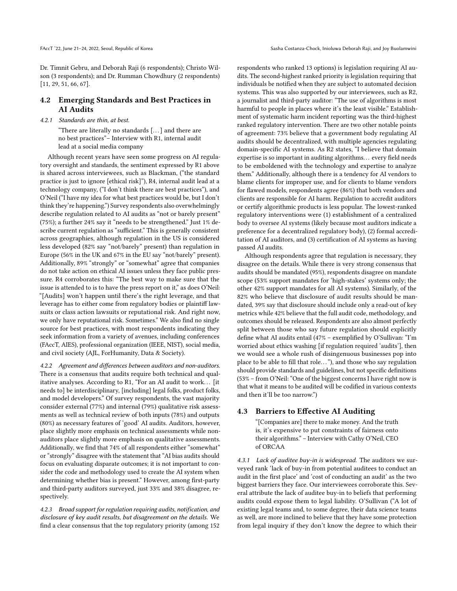Dr. Timnit Gebru, and Deborah Raji (6 respondents); Christo Wilson (3 respondents); and Dr. Rumman Chowdhury (2 respondents) [\[11,](#page-10-0) [29,](#page-10-36) [51,](#page-11-5) [66,](#page-11-0) [67\]](#page-11-4).

# 4.2 Emerging Standards and Best Practices in AI Audits

### 4.2.1 Standards are thin, at best.

"There are literally no standards [. . . ] and there are no best practices"– Interview with R1, internal audit lead at a social media company

Although recent years have seen some progress on AI regulatory oversight and standards, the sentiment expressed by R1 above is shared across interviewees, such as Blackman, ("the standard practice is just to ignore [ethical risk]"), R4, internal audit lead at a technology company, ("I don't think there are best practices"), and O'Neil ("I have my idea for what best practices would be, but I don't think they're happening.") Survey respondents also overwhelmingly describe regulation related to AI audits as "not or barely present" (75%); a further 24% say it "needs to be strengthened." Just 1% describe current regulation as "sufficient." This is generally consistent across geographies, although regulation in the US is considered less developed (82% say "not/barely" present) than regulation in Europe (56% in the UK and 67% in the EU say "not/barely" present). Additionally, 89% "strongly" or "somewhat" agree that companies do not take action on ethical AI issues unless they face public pressure. R4 corroborates this: "The best way to make sure that the issue is attended to is to have the press report on it," as does O'Neil: "[Audits] won't happen until there's the right leverage, and that leverage has to either come from regulatory bodies or plaintiff lawsuits or class action lawsuits or reputational risk. And right now, we only have reputational risk. Sometimes." We also find no single source for best practices, with most respondents indicating they seek information from a variety of avenues, including conferences (FAccT, AIES), professional organization (IEEE, NIST), social media, and civil society (AJL, ForHumanity, Data & Society).

4.2.2 Agreement and differences between auditors and non-auditors. There is a consensus that audits require both technical and qualitative analyses. According to R1, "For an AI audit to work... [it needs to] be interdisciplinary, [including] legal folks, product folks, and model developers." Of survey respondents, the vast majority consider external (77%) and internal (79%) qualitative risk assessments as well as technical review of both inputs (78%) and outputs (80%) as necessary features of 'good' AI audits. Auditors, however, place slightly more emphasis on technical assessments while nonauditors place slightly more emphasis on qualitative assessments. Additionally, we find that 74% of all respondents either "somewhat" or "strongly" disagree with the statement that "AI bias audits should focus on evaluating disparate outcomes; it is not important to consider the code and methodology used to create the AI system when determining whether bias is present." However, among first-party and third-party auditors surveyed, just 33% and 38% disagree, respectively.

4.2.3 Broad support for regulation requiring audits, notification, and disclosure of key audit results, but disagreement on the details. We find a clear consensus that the top regulatory priority (among 152

respondents who ranked 13 options) is legislation requiring AI audits. The second-highest ranked priority is legislation requiring that individuals be notified when they are subject to automated decision systems. This was also supported by our interviewees, such as R2, a journalist and third-party auditor: "The use of algorithms is most harmful to people in places where it's the least visible." Establishment of systematic harm incident reporting was the third-highest ranked regulatory intervention. There are two other notable points of agreement: 73% believe that a government body regulating AI audits should be decentralized, with multiple agencies regulating domain-specific AI systems. As R2 states, "I believe that domain expertise is so important in auditing algorithms. . . every field needs to be emboldened with the technology and expertise to analyze them." Additionally, although there is a tendency for AI vendors to blame clients for improper use, and for clients to blame vendors for flawed models, respondents agree (86%) that both vendors and clients are responsible for AI harm. Regulation to accredit auditors or certify algorithmic products is less popular. The lowest-ranked regulatory interventions were (1) establishment of a centralized body to oversee AI systems (likely because most auditors indicate a preference for a decentralized regulatory body), (2) formal accreditation of AI auditors, and (3) certification of AI systems as having passed AI audits.

Although respondents agree that regulation is necessary, they disagree on the details. While there is very strong consensus that audits should be mandated (95%), respondents disagree on mandate scope (53% support mandates for 'high-stakes' systems only; the other 42% support mandates for all AI systems). Similarly, of the 82% who believe that disclosure of audit results should be mandated, 39% say that disclosure should include only a read-out of key metrics while 42% believe that the full audit code, methodology, and outcomes should be released. Respondents are also almost perfectly split between those who say future regulation should explicitly define what AI audits entail (47% – exemplified by O'Sullivan: "I'm worried about ethics washing [if regulation required 'audits'], then we would see a whole rush of disingenuous businesses pop into place to be able to fill that role. . . "), and those who say regulation should provide standards and guidelines, but not specific definitions (53% – from O'Neil: "One of the biggest concerns I have right now is that what it means to be audited will be codified in various contexts and then it'll be too narrow.")

# 4.3 Barriers to Effective AI Auditing

"[Companies are] there to make money. And the truth is, it's expensive to put constraints of fairness onto their algorithms." – Interview with Cathy O'Neil, CEO of ORCAA

4.3.1 Lack of auditee buy-in is widespread. The auditors we surveyed rank 'lack of buy-in from potential auditees to conduct an audit in the first place' and 'cost of conducting an audit' as the two biggest barriers they face. Our interviewees corroborate this. Several attribute the lack of auditee buy-in to beliefs that performing audits could expose them to legal liability. O'Sullivan ("A lot of existing legal teams and, to some degree, their data science teams as well, are more inclined to believe that they have some protection from legal inquiry if they don't know the degree to which their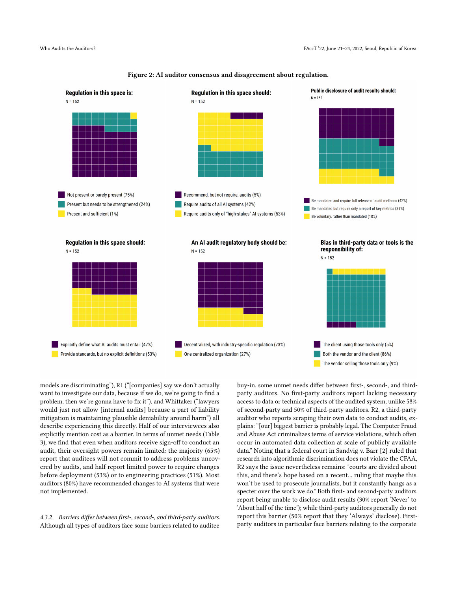

Figure 2: AI auditor consensus and disagreement about regulation.

models are discriminating"), R1 ("[companies] say we don't actually want to investigate our data, because if we do, we're going to find a problem, then we're gonna have to fix it"), and Whittaker ("lawyers would just not allow [internal audits] because a part of liability mitigation is maintaining plausible deniability around harm") all describe experiencing this directly. Half of our interviewees also explicitly mention cost as a barrier. In terms of unmet needs (Table 3), we find that even when auditors receive sign-off to conduct an audit, their oversight powers remain limited: the majority (65%) report that auditees will not commit to address problems uncovered by audits, and half report limited power to require changes before deployment (53%) or to engineering practices (51%). Most auditors (80%) have recommended changes to AI systems that were not implemented.

4.3.2 Barriers differ between first-, second-, and third-party auditors. Although all types of auditors face some barriers related to auditee

buy-in, some unmet needs differ between first-, second-, and thirdparty auditors. No first-party auditors report lacking necessary access to data or technical aspects of the audited system, unlike 58% of second-party and 50% of third-party auditors. R2, a third-party auditor who reports scraping their own data to conduct audits, explains: "[our] biggest barrier is probably legal. The Computer Fraud and Abuse Act criminalizes terms of service violations, which often occur in automated data collection at scale of publicly available data." Noting that a federal court in Sandvig v. Barr [\[2\]](#page-10-37) ruled that research into algorithmic discrimination does not violate the CFAA, R2 says the issue nevertheless remains: "courts are divided about this, and there's hope based on a recent... ruling that maybe this won't be used to prosecute journalists, but it constantly hangs as a specter over the work we do." Both first- and second-party auditors report being unable to disclose audit results (30% report 'Never' to 'About half of the time'); while third-party auditors generally do not report this barrier (50% report that they 'Always' disclose). Firstparty auditors in particular face barriers relating to the corporate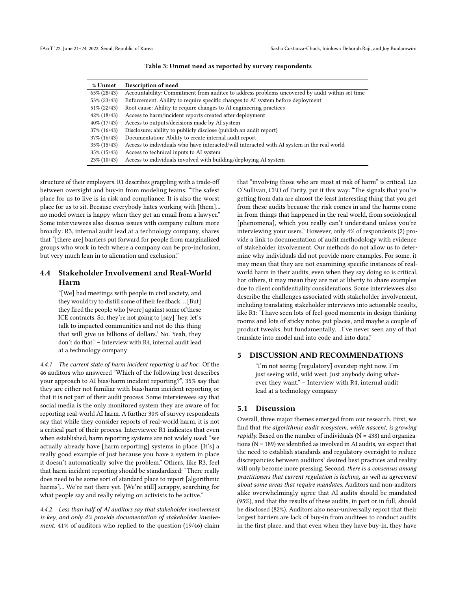| % Unmet        | Description of need                                                                            |
|----------------|------------------------------------------------------------------------------------------------|
| $65\% (28/43)$ | Accountability: Commitment from auditee to address problems uncovered by audit within set time |
| 53% (23/43)    | Enforcement: Ability to require specific changes to AI system before deployment                |
| 51% (22/43)    | Root cause: Ability to require changes to AI engineering practices                             |
| $42\%$ (18/43) | Access to harm/incident reports created after deployment                                       |
| $40\% (17/43)$ | Access to outputs/decisions made by AI system                                                  |
| $37\%$ (16/43) | Disclosure: ability to publicly disclose (publish an audit report)                             |
| $37\%$ (16/43) | Documentation: Ability to create internal audit report                                         |
| $35\% (15/43)$ | Access to individuals who have interacted/will interacted with AI system in the real world     |
| 35% (15/43)    | Access to technical inputs to AI system                                                        |
| $23\%$ (10/43) | Access to individuals involved with building/deploying AI system                               |

Table 3: Unmet need as reported by survey respondents

structure of their employers. R1 describes grappling with a trade-off between oversight and buy-in from modeling teams: "The safest place for us to live is in risk and compliance. It is also the worst place for us to sit. Because everybody hates working with [them]... no model owner is happy when they get an email from a lawyer." Some interviewees also discuss issues with company culture more broadly: R3, internal audit lead at a technology company, shares that "[there are] barriers put forward for people from marginalized groups who work in tech where a company can be pro-inclusion, but very much lean in to alienation and exclusion."

# 4.4 Stakeholder Involvement and Real-World Harm

"[We] had meetings with people in civil society, and they would try to distill some of their feedback. . . [But] they fired the people who [were] against some of these ICE contracts. So, they're not going to [say] 'hey, let's talk to impacted communities and not do this thing that will give us billions of dollars.' No. Yeah, they don't do that." – Interview with R4, internal audit lead at a technology company

4.4.1 The current state of harm incident reporting is ad hoc. Of the 46 auditors who answered "Which of the following best describes your approach to AI bias/harm incident reporting?", 35% say that they are either not familiar with bias/harm incident reporting or that it is not part of their audit process. Some interviewees say that social media is the only monitored system they are aware of for reporting real-world AI harm. A further 30% of survey respondents say that while they consider reports of real-world harm, it is not a critical part of their process. Interviewee R1 indicates that even when established, harm reporting systems are not widely used: "we actually already have [harm reporting] systems in place. [It's] a really good example of just because you have a system in place it doesn't automatically solve the problem." Others, like R3, feel that harm incident reporting should be standardized: "There really does need to be some sort of standard place to report [algorithmic harms]... We're not there yet. [We're still] scrappy, searching for what people say and really relying on activists to be active."

4.4.2 Less than half of AI auditors say that stakeholder involvement is key, and only 4% provide documentation of stakeholder involvement. 41% of auditors who replied to the question (19/46) claim

that "involving those who are most at risk of harm" is critical. Liz O'Sullivan, CEO of Parity, put it this way: "The signals that you're getting from data are almost the least interesting thing that you get from these audits because the risk comes in and the harms come in from things that happened in the real world, from sociological [phenomena], which you really can't understand unless you're interviewing your users." However, only 4% of respondents (2) provide a link to documentation of audit methodology with evidence of stakeholder involvement. Our methods do not allow us to determine why individuals did not provide more examples. For some, it may mean that they are not examining specific instances of realworld harm in their audits, even when they say doing so is critical. For others, it may mean they are not at liberty to share examples due to client confidentiality considerations. Some interviewees also describe the challenges associated with stakeholder involvement, including translating stakeholder interviews into actionable results, like R1: "I have seen lots of feel-good moments in design thinking rooms and lots of sticky notes put places, and maybe a couple of product tweaks, but fundamentally. . .I've never seen any of that translate into model and into code and into data."

# 5 DISCUSSION AND RECOMMENDATIONS

"I'm not seeing [regulatory] overstep right now. I'm just seeing wild, wild west. Just anybody doing whatever they want." – Interview with R4, internal audit lead at a technology company

### 5.1 Discussion

Overall, three major themes emerged from our research. First, we find that the algorithmic audit ecosystem, while nascent, is growing *rapidly*. Based on the number of individuals ( $N = 438$ ) and organizations ( $N = 189$ ) we identified as involved in AI audits, we expect that the need to establish standards and regulatory oversight to reduce discrepancies between auditors' desired best practices and reality will only become more pressing. Second, there is a consensus among practitioners that current regulation is lacking, as well as agreement about some areas that require mandates. Auditors and non-auditors alike overwhelmingly agree that AI audits should be mandated (95%), and that the results of these audits, in part or in full, should be disclosed (82%). Auditors also near-universally report that their largest barriers are lack of buy-in from auditees to conduct audits in the first place, and that even when they have buy-in, they have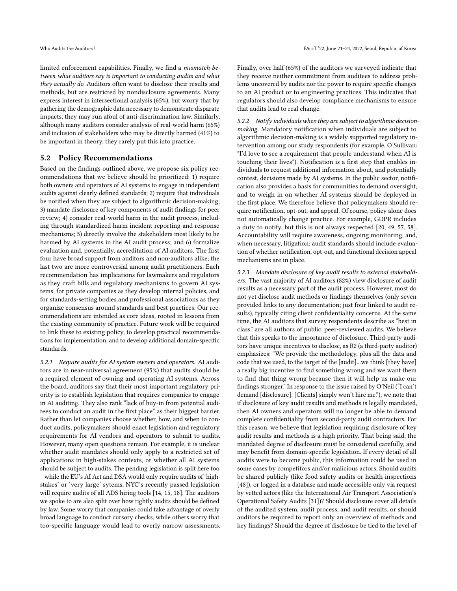limited enforcement capabilities. Finally, we find a mismatch between what auditors say is important to conducting audits and what they actually do. Auditors often want to disclose their results and methods, but are restricted by nondisclosure agreements. Many express interest in intersectional analysis (65%), but worry that by gathering the demographic data necessary to demonstrate disparate impacts, they may run afoul of anti-discrimination law. Similarly, although many auditors consider analysis of real-world harm (65%) and inclusion of stakeholders who may be directly harmed (41%) to be important in theory, they rarely put this into practice.

### 5.2 Policy Recommendations

Based on the findings outlined above, we propose six policy recommendations that we believe should be prioritized: 1) require both owners and operators of AI systems to engage in independent audits against clearly defined standards; 2) require that individuals be notified when they are subject to algorithmic decision-making; 3) mandate disclosure of key components of audit findings for peer review; 4) consider real-world harm in the audit process, including through standardized harm incident reporting and response mechanisms; 5) directly involve the stakeholders most likely to be harmed by AI systems in the AI audit process; and 6) formalize evaluation and, potentially, accreditation of AI auditors. The first four have broad support from auditors and non-auditors alike; the last two are more controversial among audit practitioners. Each recommendation has implications for lawmakers and regulators as they craft bills and regulatory mechanisms to govern AI systems, for private companies as they develop internal policies, and for standards-setting bodies and professional associations as they organize consensus around standards and best practices. Our recommendations are intended as core ideas, rooted in lessons from the existing community of practice. Future work will be required to link these to existing policy, to develop practical recommendations for implementation, and to develop additional domain-specific standards.

5.2.1 Require audits for AI system owners and operators. AI auditors are in near-universal agreement (95%) that audits should be a required element of owning and operating AI systems. Across the board, auditors say that their most important regulatory priority is to establish legislation that requires companies to engage in AI auditing. They also rank "lack of buy-in from potential auditees to conduct an audit in the first place" as their biggest barrier. Rather than let companies choose whether, how, and when to conduct audits, policymakers should enact legislation and regulatory requirements for AI vendors and operators to submit to audits. However, many open questions remain. For example, it is unclear whether audit mandates should only apply to a restricted set of applications in high-stakes contexts, or whether all AI systems should be subject to audits. The pending legislation is split here too – while the EU's AI Act and DSA would only require audits of 'highstakes' or 'very large' sytems, NYC's recently passed legislation will require audits of all ADS hiring tools [\[14,](#page-10-29) [15,](#page-10-30) [18\]](#page-10-26). The auditors we spoke to are also split over how tightly audits should be defined by law. Some worry that companies could take advantage of overly broad language to conduct cursory checks, while others worry that too-specific language would lead to overly narrow assessments.

Finally, over half (65%) of the auditors we surveyed indicate that they receive neither commitment from auditees to address problems uncovered by audits nor the power to require specific changes to an AI product or to engineering practices. This indicates that regulators should also develop compliance mechanisms to ensure that audits lead to real change.

5.2.2 Notify individuals when they are subject to algorithmic decisionmaking. Mandatory notification when individuals are subject to algorithmic decision-making is a widely supported regulatory intervention among our study respondents (for example, O'Sullivan: "I'd love to see a requirement that people understand when AI is touching their lives"). Notification is a first step that enables individuals to request additional information about, and potentially contest, decisions made by AI systems. In the public sector, notification also provides a basis for communities to demand oversight, and to weigh in on whether AI systems should be deployed in the first place. We therefore believe that policymakers should require notification, opt-out, and appeal. Of course, policy alone does not automatically change practice. For example, GDPR includes a duty to notify, but this is not always respected [\[20,](#page-10-38) [49,](#page-11-22) [57,](#page-11-23) [58\]](#page-11-24). Accountability will require awareness, ongoing monitoring, and, when necessary, litigation; audit standards should include evaluation of whether notification, opt-out, and functional decision appeal mechanisms are in place.

5.2.3 Mandate disclosure of key audit results to external stakeholders. The vast majority of AI auditors (82%) view disclosure of audit results as a necessary part of the audit process. However, most do not yet disclose audit methods or findings themselves (only seven provided links to any documentation; just four linked to audit results), typically citing client confidentiality concerns. At the same time, the AI auditors that survey respondents describe as "best in class" are all authors of public, peer-reviewed audits. We believe that this speaks to the importance of disclosure. Third-party auditors have unique incentives to disclose, as R2 (a third-party auditor) emphasizes: "We provide the methodology, plus all the data and code that we used, to the target of the [audit]...we think [they have] a really big incentive to find something wrong and we want them to find that thing wrong because then it will help us make our findings stronger." In response to the issue raised by O'Neil ("I can't demand [disclosure]. [Clients] simply won't hire me."), we note that if disclosure of key audit results and methods is legally mandated, then AI owners and operators will no longer be able to demand complete confidentiality from second-party audit contractors. For this reason, we believe that legislation requiring disclosure of key audit results and methods is a high priority. That being said, the mandated degree of disclosure must be considered carefully, and may benefit from domain-specific legislation. If every detail of all audits were to become public, this information could be used in some cases by competitors and/or malicious actors. Should audits be shared publicly (like food safety audits or health inspections [\[48\]](#page-11-25)), or logged in a database and made accessible only via request by vetted actors (like the International Air Transport Association's Operational Safety Audits [\[31\]](#page-10-39))? Should disclosure cover all details of the audited system, audit process, and audit results, or should auditors be required to report only an overview of methods and key findings? Should the degree of disclosure be tied to the level of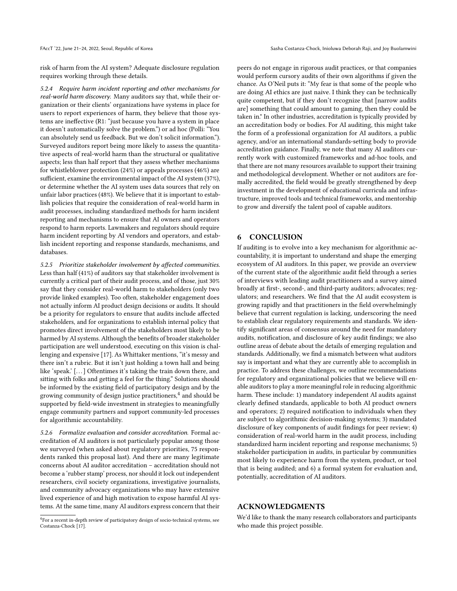risk of harm from the AI system? Adequate disclosure regulation requires working through these details.

5.2.4 Require harm incident reporting and other mechanisms for real-world harm discovery. Many auditors say that, while their organization or their clients' organizations have systems in place for users to report experiences of harm, they believe that those systems are ineffective (R1: "just because you have a system in place it doesn't automatically solve the problem.") or ad hoc (Polli: "You can absolutely send us feedback. But we don't solicit information."). Surveyed auditors report being more likely to assess the quantitative aspects of real-world harm than the structural or qualitative aspects; less than half report that they assess whether mechanisms for whistleblower protection (24%) or appeals processes (46%) are sufficient, examine the environmental impact of the AI system (37%), or determine whether the AI system uses data sources that rely on unfair labor practices (48%). We believe that it is important to establish policies that require the consideration of real-world harm in audit processes, including standardized methods for harm incident reporting and mechanisms to ensure that AI owners and operators respond to harm reports. Lawmakers and regulators should require harm incident reporting by AI vendors and operators, and establish incident reporting and response standards, mechanisms, and databases.

5.2.5 Prioritize stakeholder involvement by affected communities. Less than half (41%) of auditors say that stakeholder involvement is currently a critical part of their audit process, and of those, just 30% say that they consider real-world harm to stakeholders (only two provide linked examples). Too often, stakeholder engagement does not actually inform AI product design decisions or audits. It should be a priority for regulators to ensure that audits include affected stakeholders, and for organizations to establish internal policy that promotes direct involvement of the stakeholders most likely to be harmed by AI systems. Although the benefits of broader stakeholder participation are well understood, executing on this vision is challenging and expensive [\[17\]](#page-10-40). As Whittaker mentions, "it's messy and there isn't a rubric. But it isn't just holding a town hall and being like 'speak.' [...] Oftentimes it's taking the train down there, and sitting with folks and getting a feel for the thing." Solutions should be informed by the existing field of participatory design and by the growing community of design justice practitioners, $\rm ^4$  $\rm ^4$  and should be supported by field-wide investment in strategies to meaningfully engage community partners and support community-led processes for algorithmic accountability.

5.2.6 Formalize evaluation and consider accreditation. Formal accreditation of AI auditors is not particularly popular among those we surveyed (when asked about regulatory priorities, 75 respondents ranked this proposal last). And there are many legitimate concerns about AI auditor accreditation – accreditation should not become a 'rubber stamp' process, nor should it lock out independent researchers, civil society organizations, investigative journalists, and community advocacy organizations who may have extensive lived experience of and high motivation to expose harmful AI systems. At the same time, many AI auditors express concern that their

peers do not engage in rigorous audit practices, or that companies would perform cursory audits of their own algorithms if given the chance. As O'Neil puts it: "My fear is that some of the people who are doing AI ethics are just naive. I think they can be technically quite competent, but if they don't recognize that [narrow audits are] something that could amount to gaming, then they could be taken in." In other industries, accreditation is typically provided by an accreditation body or bodies. For AI auditing, this might take the form of a professional organization for AI auditors, a public agency, and/or an international standards-setting body to provide accreditation guidance. Finally, we note that many AI auditors currently work with customized frameworks and ad-hoc tools, and that there are not many resources available to support their training and methodological development. Whether or not auditors are formally accredited, the field would be greatly strengthened by deep investment in the development of educational curricula and infrastructure, improved tools and technical frameworks, and mentorship to grow and diversify the talent pool of capable auditors.

# 6 CONCLUSION

If auditing is to evolve into a key mechanism for algorithmic accountability, it is important to understand and shape the emerging ecosystem of AI auditors. In this paper, we provide an overview of the current state of the algorithmic audit field through a series of interviews with leading audit practitioners and a survey aimed broadly at first-, second-, and third-party auditors; advocates; regulators; and researchers. We find that the AI audit ecosystem is growing rapidly and that practitioners in the field overwhelmingly believe that current regulation is lacking, underscoring the need to establish clear regulatory requirements and standards. We identify significant areas of consensus around the need for mandatory audits, notification, and disclosure of key audit findings; we also outline areas of debate about the details of emerging regulation and standards. Additionally, we find a mismatch between what auditors say is important and what they are currently able to accomplish in practice. To address these challenges, we outline recommendations for regulatory and organizational policies that we believe will enable auditors to play a more meaningful role in reducing algorithmic harm. These include: 1) mandatory independent AI audits against clearly defined standards, applicable to both AI product owners and operators; 2) required notification to individuals when they are subject to algorithmic decision-making systems; 3) mandated disclosure of key components of audit findings for peer review; 4) consideration of real-world harm in the audit process, including standardized harm incident reporting and response mechanisms; 5) stakeholder participation in audits, in particular by communities most likely to experience harm from the system, product, or tool that is being audited; and 6) a formal system for evaluation and, potentially, accreditation of AI auditors.

# ACKNOWLEDGMENTS

We'd like to thank the many research collaborators and participants who made this project possible.

<span id="page-9-0"></span><sup>&</sup>lt;sup>4</sup>For a recent in-depth review of participatory design of socio-technical systems, see Costanza-Chock [\[17\]](#page-10-40).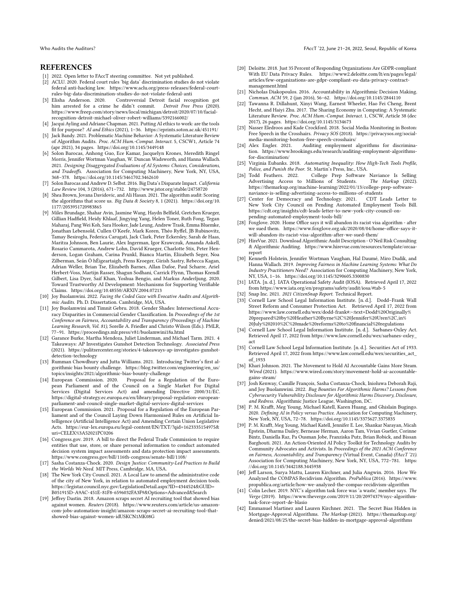# REFERENCES

- <span id="page-10-13"></span>[1] 2022. Open letter to FAccT steering committee. Not yet published.
- <span id="page-10-37"></span>ACLU. 2020. Federal court rules 'big data' discrimination studies do not violate federal anti-hacking law. [https://www.aclu.org/press-releases/federal-court](https://www.aclu.org/press-releases/federal-court-rules-big-data-discrimination-studies-do-not-violate-federal-anti)[rules-big-data-discrimination-studies-do-not-violate-federal-anti](https://www.aclu.org/press-releases/federal-court-rules-big-data-discrimination-studies-do-not-violate-federal-anti)
- <span id="page-10-3"></span>[3] Elisha Anderson. 2020. Controversial Detroit facial recognition got him arrested for a crime he didn't commit. Detroit Free Press (2020). [https://www.freep.com/story/news/local/michigan/detroit/2020/07/10/facial](https://www.freep.com/story/news/local/michigan/detroit/2020/07/10/facial-recognition-detroit-michael-oliver-robert-williams/5392166002/)[recognition-detroit-michael-oliver-robert-williams/5392166002/](https://www.freep.com/story/news/local/michigan/detroit/2020/07/10/facial-recognition-detroit-michael-oliver-robert-williams/5392166002/)
- <span id="page-10-19"></span>[4] Jacqui Ayling and Adriane Chapman. 2021. Putting AI ethics to work: are the tools fit for purpose? AI and Ethics (2021), 1–36.<https://eprints.soton.ac.uk/451191/>
- <span id="page-10-8"></span>[5] Jack Bandy. 2021. Problematic Machine Behavior: A Systematic Literature Review of Algorithm Audits. Proc. ACM Hum.-Comput. Interact. 5, CSCW1, Article 74 (apr 2021), 34 pages.<https://doi.org/10.1145/3449148>
- <span id="page-10-35"></span>[6] Solon Barocas, Anhong Guo, Ece Kamar, Jacquelyn Krones, Meredith Ringel Morris, Jennifer Wortman Vaughan, W. Duncan Wadsworth, and Hanna Wallach. 2021. Designing Disaggregated Evaluations of AI Systems: Choices, Considerations, and Tradeoffs. Association for Computing Machinery, New York, NY, USA, 368–378.<https://doi.org/10.1145/3461702.3462610>
- <span id="page-10-18"></span>[7] Solon Barocas and Andrew D. Selbst. 2016. Big Data's Disparate Impact. California Law Review 104, 3 (2016), 671–732.<http://www.jstor.org/stable/24758720>
- <span id="page-10-1"></span>[8] Shea Brown, Jovana Davidovic, and Ali Hasan. 2021. The algorithm audit: Scoring the algorithms that score us. Big Data & Society 8, 1 (2021). [https://doi.org/10.](https://doi.org/10.1177/2053951720983865) [1177/2053951720983865](https://doi.org/10.1177/2053951720983865)
- <span id="page-10-34"></span>[9] Miles Brundage, Shahar Avin, Jasmine Wang, Haydn Belfield, Gretchen Krueger, Gillian Hadfield, Heidy Khlaaf, Jingying Yang, Helen Toner, Ruth Fong, Tegan Maharaj, Pang Wei Koh, Sara Hooker, Jade Leung, Andrew Trask, Emma Bluemke, Jonathan Lebensold, Cullen O'Keefe, Mark Koren, Théo Ryffel, JB Rubinovitz, Tamay Besiroglu, Federica Carugati, Jack Clark, Peter Eckersley, Sarah de Haas, Maritza Johnson, Ben Laurie, Alex Ingerman, Igor Krawczuk, Amanda Askell, Rosario Cammarota, Andrew Lohn, David Krueger, Charlotte Stix, Peter Henderson, Logan Graham, Carina Prunkl, Bianca Martin, Elizabeth Seger, Noa Zilberman, Seán Ó hÉigeartaigh, Frens Kroeger, Girish Sastry, Rebecca Kagan, Adrian Weller, Brian Tse, Elizabeth Barnes, Allan Dafoe, Paul Scharre, Ariel Herbert-Voss, Martijn Rasser, Shagun Sodhani, Carrick Flynn, Thomas Krendl Gilbert, Lisa Dyer, Saif Khan, Yoshua Bengio, and Markus Anderljung. 2020. Toward Trustworthy AI Development: Mechanisms for Supporting Verifiable Claims.<https://doi.org/10.48550/ARXIV.2004.07213>
- <span id="page-10-2"></span>[10] Joy Buolamwini. 2022. Facing the Coded Gaze with Evocative Audits and Algorithmic Audits. Ph. D. Dissertation. Cambridge, MA, USA.
- <span id="page-10-0"></span>[11] Joy Buolamwini and Timnit Gebru. 2018. Gender Shades: Intersectional Accuracy Disparities in Commercial Gender Classification. In Proceedings of the 1st Conference on Fairness, Accountability and Transparency (Proceedings of Machine Learning Research, Vol. 81), Sorelle A. Friedler and Christo Wilson (Eds.). PMLR, 77–91.<https://proceedings.mlr.press/v81/buolamwini18a.html>
- <span id="page-10-14"></span>[12] Garance Burke, Martha Mendoza, Juliet Linderman, and Michael Tarm. 2021. 4 Takeaways: AP Investigates Gunshot Detection Technology. Associated Press (2021). [https://pulitzercenter.org/stories/4-takeaways-ap-investigates-gunshot](https://pulitzercenter.org/stories/4-takeaways-ap-investigates-gunshot-detection-technology)[detection-technology](https://pulitzercenter.org/stories/4-takeaways-ap-investigates-gunshot-detection-technology)
- <span id="page-10-23"></span>[13] Rumman Chowdhury and Jutta Williams. 2021. Introducing Twitter's first algorithmic bias bounty challenge. [https://blog.twitter.com/engineering/en\\_us/](https://blog.twitter.com/engineering/en_us/topics/insights/2021/algorithmic-bias-bounty-challenge) [topics/insights/2021/algorithmic-bias-bounty-challenge](https://blog.twitter.com/engineering/en_us/topics/insights/2021/algorithmic-bias-bounty-challenge)
- <span id="page-10-29"></span>Proposal for a Regulation of the European Parliament and of the Council on a Single Market For Digital Services (Digital Services Act) and amending Directive 2000/31/EC. [https://digital-strategy.ec.europa.eu/en/library/proposal-regulation-european](https://digital-strategy.ec.europa.eu/en/library/proposal-regulation-european-parliament-and-council-single-market-digital-services-digital-services)[parliament-and-council-single-market-digital-services-digital-services](https://digital-strategy.ec.europa.eu/en/library/proposal-regulation-european-parliament-and-council-single-market-digital-services-digital-services)
- <span id="page-10-30"></span>[15] European Commission. 2021. Proposal for a Regulation of the European Parliament and of the Council Laying Down Harmonised Rules on Artificial Intelligence (Artificial Intelligence Act) and Amending Certain Union Legislative Acts. [https://eur-lex.europa.eu/legal-content/EN/TXT/?qid=1623335154975&](https://eur-lex.europa.eu/legal-content/EN/TXT/?qid=1623335154975&uri=CELEX%3A52021PC0206) [uri=CELEX%3A52021PC0206](https://eur-lex.europa.eu/legal-content/EN/TXT/?qid=1623335154975&uri=CELEX%3A52021PC0206)
- <span id="page-10-28"></span>[16] Congress.gov. 2019. A bill to direct the Federal Trade Commission to require entities that use, store, or share personal information to conduct automated decision system impact assessments and data protection impact assessments. <https://www.congress.gov/bill/116th-congress/senate-bill/1108/>
- <span id="page-10-40"></span>[17] Sasha Costanza-Chock. 2020. Design Justice: Community-Led Practices to Build the Worlds We Need. MIT Press, Cambridge, MA, USA.
- <span id="page-10-26"></span>[18] The New York City Council. 2021. A Local Law to amend the administrative code of the city of New York, in relation to automated employment decision tools. [https://legistar.council.nyc.gov/LegislationDetail.aspx?ID=4344524&GUID=](https://legistar.council.nyc.gov/LegislationDetail.aspx?ID=4344524&GUID=B051915D-A9AC-451E-81F8-6596032FA3F9&Options=Advanced&Search) [B051915D-A9AC-451E-81F8-6596032FA3F9&Options=Advanced&Search](https://legistar.council.nyc.gov/LegislationDetail.aspx?ID=4344524&GUID=B051915D-A9AC-451E-81F8-6596032FA3F9&Options=Advanced&Search)
- <span id="page-10-11"></span>[19] Jeffrey Dastin. 2018. Amazon scraps secret AI recruiting tool that showed bias against women. Reuters (2018). [https://www.reuters.com/article/us-amazon](https://www.reuters.com/article/us-amazon-com-jobs-automation-insight/amazon-scraps-secret-ai-recruiting-tool-that-showed-bias-against-women-idUSKCN1MK08G)[com-jobs-automation-insight/amazon-scraps-secret-ai-recruiting-tool-that](https://www.reuters.com/article/us-amazon-com-jobs-automation-insight/amazon-scraps-secret-ai-recruiting-tool-that-showed-bias-against-women-idUSKCN1MK08G)[showed-bias-against-women-idUSKCN1MK08G](https://www.reuters.com/article/us-amazon-com-jobs-automation-insight/amazon-scraps-secret-ai-recruiting-tool-that-showed-bias-against-women-idUSKCN1MK08G)
- <span id="page-10-38"></span>[20] Deloitte. 2018. Just 35 Percent of Responding Organizations Are GDPR-compliant With EU Data Privacy Rules. [https://www2.deloitte.com/lt/en/pages/legal/](https://www2.deloitte.com/lt/en/pages/legal/articles/few-organizations-are-gdpr-compliant-eu-data-privacy-contract-management.html) [articles/few-organizations-are-gdpr-compliant-eu-data-privacy-contract](https://www2.deloitte.com/lt/en/pages/legal/articles/few-organizations-are-gdpr-compliant-eu-data-privacy-contract-management.html)[management.html](https://www2.deloitte.com/lt/en/pages/legal/articles/few-organizations-are-gdpr-compliant-eu-data-privacy-contract-management.html)
- <span id="page-10-6"></span>[21] Nicholas Diakopoulos. 2016. Accountability in Algorithmic Decision Making. Commun. ACM 59, 2 (jan 2016), 56–62.<https://doi.org/10.1145/2844110>
- <span id="page-10-9"></span>[22] Tawanna R. Dillahunt, Xinyi Wang, Earnest Wheeler, Hao Fei Cheng, Brent Hecht, and Haiyi Zhu. 2017. The Sharing Economy in Computing: A Systematic Literature Review. Proc. ACM Hum.-Comput. Interact. 1, CSCW, Article 38 (dec 2017), 26 pages.<https://doi.org/10.1145/3134673>
- <span id="page-10-15"></span>[23] Nasser Eledroos and Kade Crockford. 2018. Social Media Monitoring in Boston: Free Speech in the Crosshairs. Privacy SOS (2018). [https://privacysos.org/social](https://privacysos.org/social-media-monitoring-boston-free-speech-crosshairs/)[media-monitoring-boston-free-speech-crosshairs/](https://privacysos.org/social-media-monitoring-boston-free-speech-crosshairs/)
- <span id="page-10-12"></span>[24] Alex Engler. 2021. Auditing employment algorithms for discrimination. [https://www.brookings.edu/research/auditing-employment-algorithms](https://www.brookings.edu/research/auditing-employment-algorithms-for-discrimination/)[for-discrimination/](https://www.brookings.edu/research/auditing-employment-algorithms-for-discrimination/)
- <span id="page-10-4"></span>[25] Virginia Eubanks. 2018. Automating Inequality: How High-Tech Tools Profile, Police, and Punish the Poor. St. Martin's Press, Inc., USA.
- <span id="page-10-16"></span>College Prep Software Naviance Is Selling<br>illions of Students. The Markup (2022). Advertising Access to Millions of Students. [https://themarkup.org/machine-learning/2022/01/13/college-prep-software](https://themarkup.org/machine-learning/2022/01/13/college-prep-software-naviance-is-selling-advertising-access-to-millions-of-students)[naviance-is-selling-advertising-access-to-millions-of-students](https://themarkup.org/machine-learning/2022/01/13/college-prep-software-naviance-is-selling-advertising-access-to-millions-of-students)
- <span id="page-10-27"></span>[27] Center for Democracy and Technology. 2021. New York City Council on Pending Automated Employment Tools Bill. [https://cdt.org/insights/cdt-leads-letter-to-new-york-city-council-on](https://cdt.org/insights/cdt-leads-letter-to-new-york-city-council-on-pending-automated-employment-tools-bill/)[pending-automated-employment-tools-bill/](https://cdt.org/insights/cdt-leads-letter-to-new-york-city-council-on-pending-automated-employment-tools-bill/)
- <span id="page-10-17"></span>[28] Foxglove. 2020. Home Office says it will abandon its racist visa algorithm - after we sued them. [https://www.foxglove.org.uk/2020/08/04/home-office-says-it](https://www.foxglove.org.uk/2020/08/04/home-office-says-it-will-abandon-its-racist-visa-algorithm-after-we-sued-them/)[will-abandon-its-racist-visa-algorithm-after-we-sued-them/](https://www.foxglove.org.uk/2020/08/04/home-office-says-it-will-abandon-its-racist-visa-algorithm-after-we-sued-them/)
- <span id="page-10-36"></span>[29] HireVue. 2021. Download Algorithmic Audit Description - O'Neil Risk Consulting & Algorithmic Auditing. [https://www.hirevue.com/resources/template/orcaa](https://www.hirevue.com/resources/template/orcaa-report)[report](https://www.hirevue.com/resources/template/orcaa-report)
- <span id="page-10-21"></span>[30] Kenneth Holstein, Jennifer Wortman Vaughan, Hal Daumé, Miro Dudik, and Hanna Wallach. 2019. Improving Fairness in Machine Learning Systems: What Do Industry Practitioners Need? Association for Computing Machinery, New York, NY, USA, 1–16.<https://doi.org/10.1145/3290605.3300830>
- <span id="page-10-39"></span>[31] IATA. [n. d.]. IATA Operational Safety Audit (IOSA). Retrieved April 17, 2022 from<https://www.iata.org/en/programs/safety/audit/iosa/#tab-5>
- <span id="page-10-10"></span>[32] Snap Inc. 2021. 2021 CitizenSnap Report. Technical Report.
- <span id="page-10-24"></span>[33] Cornell Law School Legal Information Institute. [n. d.]. Dodd–Frank Wall Street Reform and Consumer Protection Act. Retrieved April 17, 2022 from [https://www.law.cornell.edu/wex/dodd-frank#:~:text=Dodd%20Originally%](https://www.law.cornell.edu/wex/dodd-frank#:~:text=Dodd%20Originally%20prepared%20by%20Heather%20Byrne%2C%20Jennifer%20Uren%2C,in%20July%202010%2C%20made%20reforms%20to%20financial%20regulations) [20prepared%20by%20Heather%20Byrne%2C%20Jennifer%20Uren%2C,in%](https://www.law.cornell.edu/wex/dodd-frank#:~:text=Dodd%20Originally%20prepared%20by%20Heather%20Byrne%2C%20Jennifer%20Uren%2C,in%20July%202010%2C%20made%20reforms%20to%20financial%20regulations) [20July%202010%2C%20made%20reforms%20to%20financial%20regulations](https://www.law.cornell.edu/wex/dodd-frank#:~:text=Dodd%20Originally%20prepared%20by%20Heather%20Byrne%2C%20Jennifer%20Uren%2C,in%20July%202010%2C%20made%20reforms%20to%20financial%20regulations)
- [34] Cornell Law School Legal Information Institute. [n. d.]. Sarbanes-Oxley Act. Retrieved April 17, 2022 from [https://www.law.cornell.edu/wex/sarbanes-oxley\\_](https://www.law.cornell.edu/wex/sarbanes-oxley_act) [act](https://www.law.cornell.edu/wex/sarbanes-oxley_act)
- <span id="page-10-25"></span>[35] Cornell Law School Legal Information Institute. [n. d.]. Securities Act of 1933. Retrieved April 17, 2022 from [https://www.law.cornell.edu/wex/securities\\_act\\_](https://www.law.cornell.edu/wex/securities_act_of_1933) [of\\_1933](https://www.law.cornell.edu/wex/securities_act_of_1933)
- <span id="page-10-20"></span>[36] Khari Johnson. 2021. The Movement to Hold AI Accountable Gains More Steam. Wired (2021). [https://www.wired.com/story/movement-hold-ai-accountable](https://www.wired.com/story/movement-hold-ai-accountable-gains-steam/)[gains-steam/](https://www.wired.com/story/movement-hold-ai-accountable-gains-steam/)
- <span id="page-10-32"></span>[37] Josh Kenway, Camille François, Sasha Costanza-Chock, Inioluwa Deborah Raji, and Joy Buolamwini. 2022. Bug Bounties For Algorithmic Harms? Lessons from Cybersecurity Vulnerability Disclosure for Algorithmic Harms Discovery, Disclosure, and Redress. Algorithmic Justice League, Washington, DC.
- <span id="page-10-33"></span>[38] P. M. Krafft, Meg Young, Michael Katell, Karen Huang, and Ghislain Bugingo. 2020. Defining AI in Policy versus Practice. Association for Computing Machinery, New York, NY, USA, 72–78.<https://doi.org/10.1145/3375627.3375835>
- <span id="page-10-22"></span>[39] P. M. Krafft, Meg Young, Michael Katell, Jennifer E. Lee, Shankar Narayan, Micah Epstein, Dharma Dailey, Bernease Herman, Aaron Tam, Vivian Guetler, Corinne Bintz, Daniella Raz, Pa Ousman Jobe, Franziska Putz, Brian Robick, and Bissan Barghouti. 2021. An Action-Oriented AI Policy Toolkit for Technology Audits by Community Advocates and Activists. In Proceedings of the 2021 ACM Conference on Fairness, Accountability, and Transparency (Virtual Event, Canada) (FAccT '21). Association for Computing Machinery, New York, NY, USA, 772–781. [https:](https://doi.org/10.1145/3442188.3445938) [//doi.org/10.1145/3442188.3445938](https://doi.org/10.1145/3442188.3445938)
- <span id="page-10-7"></span>[40] Jeff Larson, Surya Mattu, Lauren Kirchner, and Julia Angwin. 2016. How We Analyzed the COMPAS Recidivism Algorithm. ProPublica (2016). [https://www.](https://www.propublica.org/article/how-we-analyzed-the-compas-recidivism-algorithm) [propublica.org/article/how-we-analyzed-the-compas-recidivism-algorithm](https://www.propublica.org/article/how-we-analyzed-the-compas-recidivism-algorithm)
- <span id="page-10-31"></span>[41] Colin Lecher. 2019. NYC's algorithm task force was 'a waste,' member says. The Verge (2019). [https://www.theverge.com/2019/11/20/20974379/nyc-algorithm](https://www.theverge.com/2019/11/20/20974379/nyc-algorithm-task-force-report-de-blasio)[task-force-report-de-blasio](https://www.theverge.com/2019/11/20/20974379/nyc-algorithm-task-force-report-de-blasio)
- <span id="page-10-5"></span>[42] Emmanuel Martinez and Lauren Kirchner. 2021. The Secret Bias Hidden in Mortgage-Approval Algorithms. The Markup (2021). [https://themarkup.org/](https://themarkup.org/denied/2021/08/25/the-secret-bias-hidden-in-mortgage-approval-algorithms) [denied/2021/08/25/the-secret-bias-hidden-in-mortgage-approval-algorithms](https://themarkup.org/denied/2021/08/25/the-secret-bias-hidden-in-mortgage-approval-algorithms)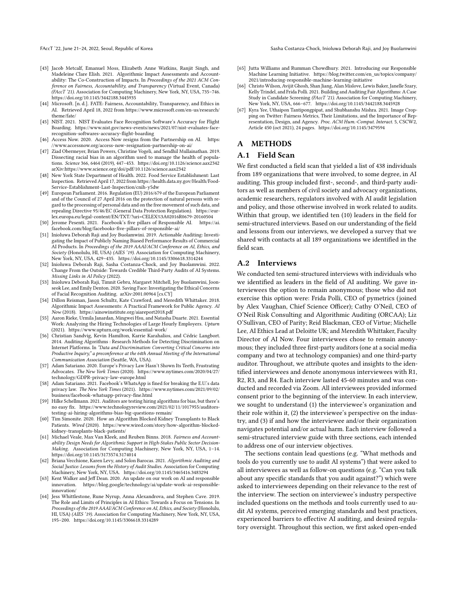FAccT '22, June 21-24, 2022, Seoul, Republic of Korea Sasha Costanza-Chock, Inioluwa Deborah Raji, and Joy Buolamwini

- <span id="page-11-16"></span>[43] Jacob Metcalf, Emanuel Moss, Elizabeth Anne Watkins, Ranjit Singh, and Madeleine Clare Elish. 2021. Algorithmic Impact Assessments and Accountability: The Co-Construction of Impacts. In Proceedings of the 2021 ACM Conference on Fairness, Accountability, and Transparency (Virtual Event, Canada) (FAccT '21). Association for Computing Machinery, New York, NY, USA, 735–746. <https://doi.org/10.1145/3442188.3445935>
- <span id="page-11-7"></span>[44] Microsoft. [n. d.]. FATE: Fairness, Accountability, Transparency, and Ethics in AI. Retrieved April 18, 2022 from [https://www.microsoft.com/en-us/research/](https://www.microsoft.com/en-us/research/theme/fate/) [theme/fate/](https://www.microsoft.com/en-us/research/theme/fate/)
- <span id="page-11-12"></span>[45] NIST. 2021. NIST Evaluates Face Recognition Software's Accuracy for Flight Boarding. [https://www.nist.gov/news-events/news/2021/07/nist-evaluates-face](https://www.nist.gov/news-events/news/2021/07/nist-evaluates-face-recognition-softwares-accuracy-flight-boarding)[recognition-softwares-accuracy-flight-boarding](https://www.nist.gov/news-events/news/2021/07/nist-evaluates-face-recognition-softwares-accuracy-flight-boarding)
- <span id="page-11-17"></span>[46] Access Now. 2020. Access Now resigns from the Partnership on AI. [https:](https://www.accessnow.org/access-now-resignation-partnership-on-ai/) [//www.accessnow.org/access-now-resignation-partnership-on-ai/](https://www.accessnow.org/access-now-resignation-partnership-on-ai/)
- <span id="page-11-13"></span>[47] Ziad Obermeyer, Brian Powers, Christine Vogeli, and Sendhil Mullainathan. 2019. Dissecting racial bias in an algorithm used to manage the health of populations. Science 366, 6464 (2019), 447–453.<https://doi.org/10.1126/science.aax2342> arXiv[:https://www.science.org/doi/pdf/10.1126/science.aax2342](https://arxiv.org/abs/https://www.science.org/doi/pdf/10.1126/science.aax2342)
- <span id="page-11-25"></span>[48] New York State Department of Health. 2022. Food Service Establishment: Last Inspection. Retrieved April 17, 2022 fro[m https://health.data.ny.gov/Health/Food-](https://health.data.ny.gov/Health/Food-Service-Establishment-Last-Inspection/cnih-y5dw)[Service-Establishment-Last-Inspection/cnih-y5dw](https://health.data.ny.gov/Health/Food-Service-Establishment-Last-Inspection/cnih-y5dw)
- <span id="page-11-22"></span>[49] European Parliament. 2016. Regulation (EU) 2016/679 of the European Parliament and of the Council of 27 April 2016 on the protection of natural persons with regard to the processing of personal data and on the free movement of such data, and repealing Directive 95/46/EC (General Data Protection Regulation). [https://eur](https://eur-lex.europa.eu/legal-content/EN/TXT/?uri=CELEX%3A02016R0679-20160504)[lex.europa.eu/legal-content/EN/TXT/?uri=CELEX%3A02016R0679-20160504](https://eur-lex.europa.eu/legal-content/EN/TXT/?uri=CELEX%3A02016R0679-20160504)
- <span id="page-11-8"></span>[50] Jerome Pesenti. 2021. Facebook's five pillars of Responsible AI. [https://ai.](https://ai.facebook.com/blog/facebooks-five-pillars-of-responsible-ai/) [facebook.com/blog/facebooks-five-pillars-of-responsible-ai/](https://ai.facebook.com/blog/facebooks-five-pillars-of-responsible-ai/)
- <span id="page-11-5"></span>[51] Inioluwa Deborah Raji and Joy Buolamwini. 2019. Actionable Auditing: Investigating the Impact of Publicly Naming Biased Performance Results of Commercial AI Products. In Proceedings of the 2019 AAAI/ACM Conference on AI, Ethics, and Society (Honolulu, HI, USA) (AIES '19). Association for Computing Machinery, New York, NY, USA, 429–435.<https://doi.org/10.1145/3306618.3314244>
- <span id="page-11-6"></span>[52] Inioluwa Deborah Raji, Sasha Costanza-Chock, and Joy Buolamwini. 2022. Change From the Outside: Towards Credible Third-Party Audits of AI Systems. Missing Links in AI Policy (2022).
- <span id="page-11-21"></span>[53] Inioluwa Deborah Raji, Timnit Gebru, Margaret Mitchell, Joy Buolamwini, Joonseok Lee, and Emily Denton. 2020. Saving Face: Investigating the Ethical Concerns of Facial Recognition Auditing. arXiv[:2001.00964](https://arxiv.org/abs/2001.00964) [cs.CY]
- <span id="page-11-20"></span>[54] Dillon Reisman, Jason Schultz, Kate Crawford, and Meredith Whittaker. 2018. Algorithmic Impact Assessments: A Practical Framework for Public Agency. AI Now (2018).<https://ainowinstitute.org/aiareport2018.pdf>
- <span id="page-11-14"></span>[55] Aaron Rieke, Urmila Janardan, Mingwei Hsu, and Natasha Duarte. 2021. Essential Work: Analyzing the Hiring Technologies of Large Hourly Employers. Upturn (2021).<https://www.upturn.org/work/essential-work/>
- <span id="page-11-3"></span>[56] Christian Sandvig, Kevin Hamilton, Karrie Karahalios, and Cédric Langbort. 2014. Auditing Algorithms : Research Methods for Detecting Discrimination on Internet Platforms. In "Data and Discrimination: Converting Critical Concerns into Productive Inquiry," a preconference at the 64th Annual Meeting of the International Communication Association (Seattle, WA, USA).
- <span id="page-11-23"></span>[57] Adam Satariano. 2020. Europe's Privacy Law Hasn't Shown Its Teeth, Frustrating Advocates. The New York Times (2020). [https://www.nytimes.com/2020/04/27/](https://www.nytimes.com/2020/04/27/technology/GDPR-privacy-law-europe.html) [technology/GDPR-privacy-law-europe.html](https://www.nytimes.com/2020/04/27/technology/GDPR-privacy-law-europe.html)
- <span id="page-11-24"></span>[58] Adam Satariano. 2021. Facebook's WhatsApp is fined for breaking the E.U.'s data privacy law. The New York Times (2021). [https://www.nytimes.com/2021/09/02/](https://www.nytimes.com/2021/09/02/business/facebook-whatsapp-privacy-fine.html) [business/facebook-whatsapp-privacy-fine.html](https://www.nytimes.com/2021/09/02/business/facebook-whatsapp-privacy-fine.html)
- <span id="page-11-11"></span>[59] Hilke Schellmann. 2021. Auditors are testing hiring algorithms for bias, but there's no easy fix. [https://www.technologyreview.com/2021/02/11/1017955/auditors](https://www.technologyreview.com/2021/02/11/1017955/auditors-testing-ai-hiring-algorithms-bias-big-questions-remain/)[testing-ai-hiring-algorithms-bias-big-questions-remain/](https://www.technologyreview.com/2021/02/11/1017955/auditors-testing-ai-hiring-algorithms-bias-big-questions-remain/)
- <span id="page-11-1"></span>[60] Tim Simonite. 2020. How an Algorithm Blocked Kidney Transplants to Black Patients. Wired (2020). [https://www.wired.com/story/how-algorithm-blocked](https://www.wired.com/story/how-algorithm-blocked-kidney-transplants-black-patients/)[kidney-transplants-black-patients/](https://www.wired.com/story/how-algorithm-blocked-kidney-transplants-black-patients/)
- <span id="page-11-18"></span>[61] Michael Veale, Max Van Kleek, and Reuben Binns. 2018. Fairness and Accountability Design Needs for Algorithmic Support in High-Stakes Public Sector Decision-Making. Association for Computing Machinery, New York, NY, USA, 1–14. <https://doi.org/10.1145/3173574.3174014>
- <span id="page-11-2"></span>[62] Briana Vecchione, Karen Levy, and Solon Barocas. 2021. Algorithmic Auditing and Social Justice: Lessons from the History of Audit Studies. Association for Computing Machinery, New York, NY, USA.<https://doi.org/10.1145/3465416.3483294>
- <span id="page-11-9"></span>[63] Kent Walker and Jeff Dean. 2020. An update on our work on AI and responsible innovation. [https://blog.google/technology/ai/update-work-ai-responsible](https://blog.google/technology/ai/update-work-ai-responsible-innovation/)[innovation/](https://blog.google/technology/ai/update-work-ai-responsible-innovation/)
- <span id="page-11-15"></span>[64] Jess Whittlestone, Rune Nyrup, Anna Alexandrova, and Stephen Cave. 2019. The Role and Limits of Principles in AI Ethics: Towards a Focus on Tensions. In Proceedings of the 2019 AAAI/ACM Conference on AI, Ethics, and Society (Honolulu, HI, USA) (AIES '19). Association for Computing Machinery, New York, NY, USA, 195–200.<https://doi.org/10.1145/3306618.3314289>
- <span id="page-11-10"></span>[65] Jutta Williams and Rumman Chowdhury. 2021. Introducing our Responsible Machine Learning Initiative. [https://blog.twitter.com/en\\_us/topics/company/](https://blog.twitter.com/en_us/topics/company/2021/introducing-responsible-machine-learning-initiative) [2021/introducing-responsible-machine-learning-initiative](https://blog.twitter.com/en_us/topics/company/2021/introducing-responsible-machine-learning-initiative)
- <span id="page-11-0"></span>[66] Christo Wilson, Avijit Ghosh, Shan Jiang, Alan Mislove, Lewis Baker, Janelle Szary, Kelly Trindel, and Frida Polli. 2021. Building and Auditing Fair Algorithms: A Case Study in Candidate Screening (FAccT '21). Association for Computing Machinery, New York, NY, USA, 666–677.<https://doi.org/10.1145/3442188.3445928>
- <span id="page-11-4"></span>[67] Kyra Yee, Uthaipon Tantipongpipat, and Shubhanshu Mishra. 2021. Image Cropping on Twitter: Fairness Metrics, Their Limitations, and the Importance of Representation, Design, and Agency. Proc. ACM Hum.-Comput. Interact. 5, CSCW2, Article 450 (oct 2021), 24 pages.<https://doi.org/10.1145/3479594>

# A METHODS

# A.1 Field Scan

We first conducted a field scan that yielded a list of 438 individuals from 189 organizations that were involved, to some degree, in AI auditing. This group included first-, second-, and third-party auditors as well as members of civil society and advocacy organizations, academic researchers, regulators involved with AI audit legislation and policy, and those otherwise involved in work related to audits. Within that group, we identified ten (10) leaders in the field for semi-structured interviews. Based on our understanding of the field and lessons from our interviews, we developed a survey that we shared with contacts at all 189 organizations we identified in the field scan.

# <span id="page-11-19"></span>A.2 Interviews

We conducted ten semi-structured interviews with individuals who we identified as leaders in the field of AI auditing. We gave interviewees the option to remain anonymous; those who did not exercise this option were: Frida Polli, CEO of pymetrics (joined by Alex Vaughan, Chief Science Officer); Cathy O'Neil, CEO of O'Neil Risk Consulting and Algorithmic Auditing (ORCAA); Liz O'Sullivan, CEO of Parity; Reid Blackman, CEO of Virtue; Michelle Lee, AI Ethics Lead at Deloitte UK; and Meredith Whittaker, Faculty Director of AI Now. Four interviewees chose to remain anonymous; they included three first-party auditors (one at a social media company and two at technology companies) and one third-party auditor. Throughout, we attribute quotes and insights to the identified interviewees and denote anonymous interviewees with R1, R2, R3, and R4. Each interview lasted 45-60 minutes and was conducted and recorded via Zoom. All interviewees provided informed consent prior to the beginning of the interview. In each interview, we sought to understand (1) the interviewee's organization and their role within it, (2) the interviewee's perspective on the industry, and (3) if and how the interviewee and/or their organization navigates potential and/or actual harm. Each interview followed a semi-structured interview guide with three sections, each intended to address one of our interview objectives.

The sections contain lead questions (e.g. "What methods and tools do you currently use to audit AI systems") that were asked to all interviewees as well as follow-on questions (e.g. "Can you talk about any specific standards that you audit against?") which were asked to interviewees depending on their relevance to the rest of the interview. The section on interviewee's industry perspective included questions on the methods and tools currently used to audit AI systems, perceived emerging standards and best practices, experienced barriers to effective AI auditing, and desired regulatory oversight. Throughout this section, we first asked open-ended